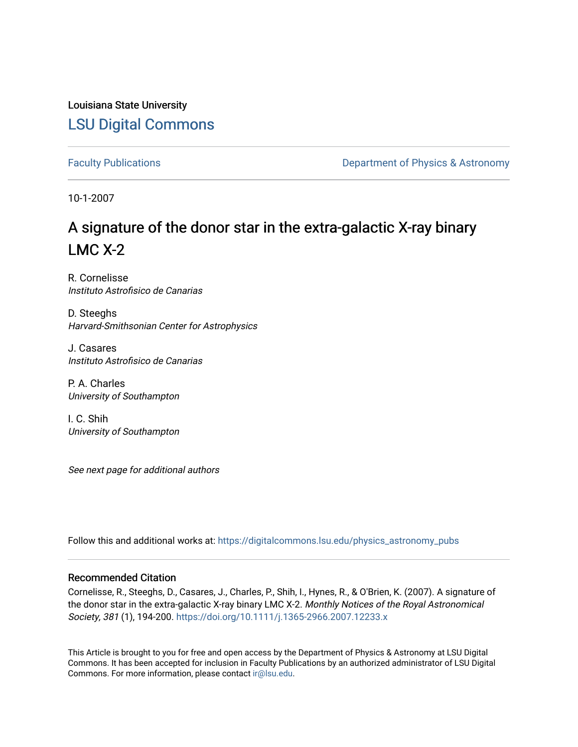Louisiana State University [LSU Digital Commons](https://digitalcommons.lsu.edu/)

[Faculty Publications](https://digitalcommons.lsu.edu/physics_astronomy_pubs) **Exercise 2 and Table 2 and Table 2 and Table 2 and Table 2 and Table 2 and Table 2 and Table 2 and Table 2 and Table 2 and Table 2 and Table 2 and Table 2 and Table 2 and Table 2 and Table 2 and Table** 

10-1-2007

# A signature of the donor star in the extra-galactic X-ray binary LMC X-2

R. Cornelisse Instituto Astrofisico de Canarias

D. Steeghs Harvard-Smithsonian Center for Astrophysics

J. Casares Instituto Astrofisico de Canarias

P. A. Charles University of Southampton

I. C. Shih University of Southampton

See next page for additional authors

Follow this and additional works at: [https://digitalcommons.lsu.edu/physics\\_astronomy\\_pubs](https://digitalcommons.lsu.edu/physics_astronomy_pubs?utm_source=digitalcommons.lsu.edu%2Fphysics_astronomy_pubs%2F2611&utm_medium=PDF&utm_campaign=PDFCoverPages) 

### Recommended Citation

Cornelisse, R., Steeghs, D., Casares, J., Charles, P., Shih, I., Hynes, R., & O'Brien, K. (2007). A signature of the donor star in the extra-galactic X-ray binary LMC X-2. Monthly Notices of the Royal Astronomical Society, 381 (1), 194-200. <https://doi.org/10.1111/j.1365-2966.2007.12233.x>

This Article is brought to you for free and open access by the Department of Physics & Astronomy at LSU Digital Commons. It has been accepted for inclusion in Faculty Publications by an authorized administrator of LSU Digital Commons. For more information, please contact [ir@lsu.edu](mailto:ir@lsu.edu).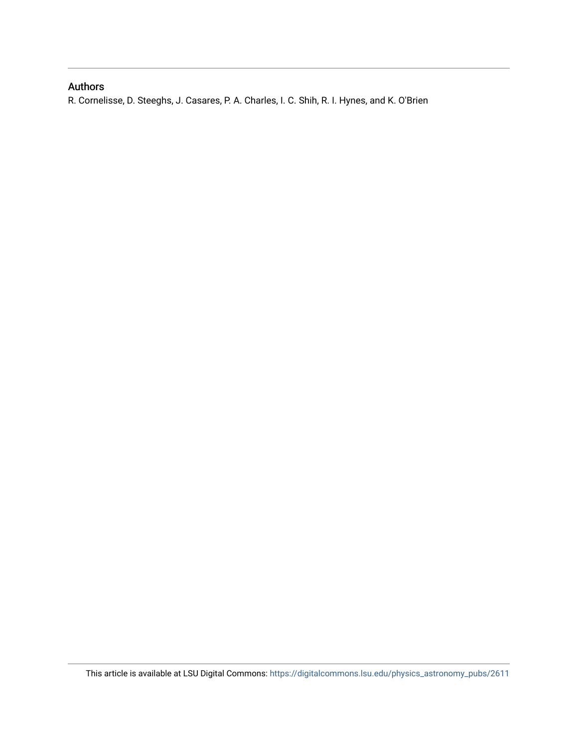### Authors

R. Cornelisse, D. Steeghs, J. Casares, P. A. Charles, I. C. Shih, R. I. Hynes, and K. O'Brien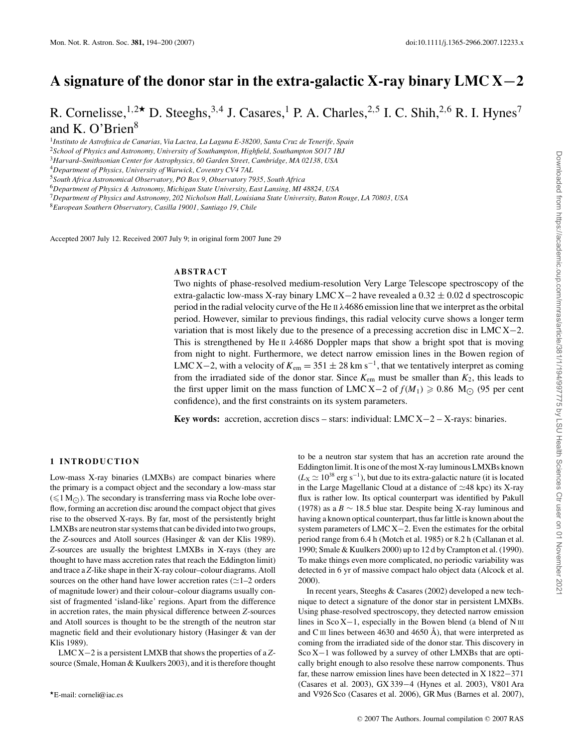## **A signature of the donor star in the extra-galactic X-ray binary LMC X***−***2**

# R. Cornelisse,  $1,2\star$  D. Steeghs,  $3,4$  J. Casares,  $1$  P. A. Charles,  $2,5$  I. C. Shih,  $2,6$  R. I. Hynes<sup>7</sup> and K. O'Brien $8$

<sup>1</sup>*Instituto de Astrofisica de Canarias, Via Lactea, La Laguna E-38200, Santa Cruz de Tenerife, Spain*

<sup>4</sup>*Department of Physics, University of Warwick, Coventry CV4 7AL*

<sup>6</sup>*Department of Physics & Astronomy, Michigan State University, East Lansing, MI 48824, USA*

<sup>7</sup>*Department of Physics and Astronomy, 202 Nicholson Hall, Louisiana State University, Baton Rouge, LA 70803, USA*

<sup>8</sup>*European Southern Observatory, Casilla 19001, Santiago 19, Chile*

Accepted 2007 July 12. Received 2007 July 9; in original form 2007 June 29

#### **ABSTRACT**

Two nights of phase-resolved medium-resolution Very Large Telescope spectroscopy of the extra-galactic low-mass X-ray binary LMC X–2 have revealed a  $0.32 \pm 0.02$  d spectroscopic period in the radial velocity curve of the He II λ4686 emission line that we interpret as the orbital period. However, similar to previous findings, this radial velocity curve shows a longer term variation that is most likely due to the presence of a precessing accretion disc in LMC X−2. This is strengthened by He II  $\lambda$ 4686 Doppler maps that show a bright spot that is moving from night to night. Furthermore, we detect narrow emission lines in the Bowen region of LMC X–2, with a velocity of  $K_{em} = 351 \pm 28$  km s<sup>-1</sup>, that we tentatively interpret as coming from the irradiated side of the donor star. Since  $K_{\text{em}}$  must be smaller than  $K_2$ , this leads to the first upper limit on the mass function of LMC X-2 of  $f(M_1) \ge 0.86$  M<sub> $\odot$ </sub> (95 per cent confidence), and the first constraints on its system parameters.

**Key words:** accretion, accretion discs – stars: individual: LMC X−2 – X-rays: binaries.

#### **1 INTRODUCTION**

Low-mass X-ray binaries (LMXBs) are compact binaries where the primary is a compact object and the secondary a low-mass star  $(\leq 1 \text{ M}_{\odot})$ . The secondary is transferring mass via Roche lobe overflow, forming an accretion disc around the compact object that gives rise to the observed X-rays. By far, most of the persistently bright LMXBs are neutron star systems that can be divided into two groups, the *Z*-sources and Atoll sources (Hasinger & van der Klis 1989). *Z*-sources are usually the brightest LMXBs in X-rays (they are thought to have mass accretion rates that reach the Eddington limit) and trace a *Z*-like shape in their X-ray colour–colour diagrams. Atoll sources on the other hand have lower accretion rates  $(\simeq 1-2$  orders of magnitude lower) and their colour–colour diagrams usually consist of fragmented 'island-like' regions. Apart from the difference in accretion rates, the main physical difference between *Z*-sources and Atoll sources is thought to be the strength of the neutron star magnetic field and their evolutionary history (Hasinger & van der Klis 1989).

LMC X−2 is a persistent LMXB that shows the properties of a *Z*source (Smale, Homan & Kuulkers 2003), and it is therefore thought

to be a neutron star system that has an accretion rate around the Eddington limit. It is one of the most X-ray luminous LMXBs known  $(L_X \simeq 10^{38} \text{ erg s}^{-1})$ , but due to its extra-galactic nature (it is located in the Large Magellanic Cloud at a distance of  $\simeq$  48 kpc) its X-ray flux is rather low. Its optical counterpart was identified by Pakull (1978) as a *B* ∼ 18.5 blue star. Despite being X-ray luminous and having a known optical counterpart, thus far little is known about the system parameters of LMC X−2. Even the estimates for the orbital period range from 6.4 h (Motch et al. 1985) or 8.2 h (Callanan et al. 1990; Smale & Kuulkers 2000) up to 12 d by Crampton et al. (1990). To make things even more complicated, no periodic variability was detected in 6 yr of massive compact halo object data (Alcock et al. 2000).

In recent years, Steeghs & Casares (2002) developed a new technique to detect a signature of the donor star in persistent LMXBs. Using phase-resolved spectroscopy, they detected narrow emission lines in Sco X−1, especially in the Bowen blend (a blend of N III and C<sub>III</sub> lines between 4630 and 4650 Å), that were interpreted as coming from the irradiated side of the donor star. This discovery in Sco X−1 was followed by a survey of other LMXBs that are optically bright enough to also resolve these narrow components. Thus far, these narrow emission lines have been detected in X 1822−371 (Casares et al. 2003), GX 339−4 (Hynes et al. 2003), V801 Ara and V926 Sco (Casares et al. 2006), GR Mus (Barnes et al. 2007),

<sup>2</sup>*School of Physics and Astronomy, University of Southampton, Highfield, Southampton SO17 1BJ*

<sup>3</sup>*Harvard–Smithsonian Center for Astrophysics, 60 Garden Street, Cambridge, MA 02138, USA*

<sup>5</sup>*South Africa Astronomical Observatory, PO Box 9, Observatory 7935, South Africa*

<sup>-</sup>E-mail: corneli@iac.es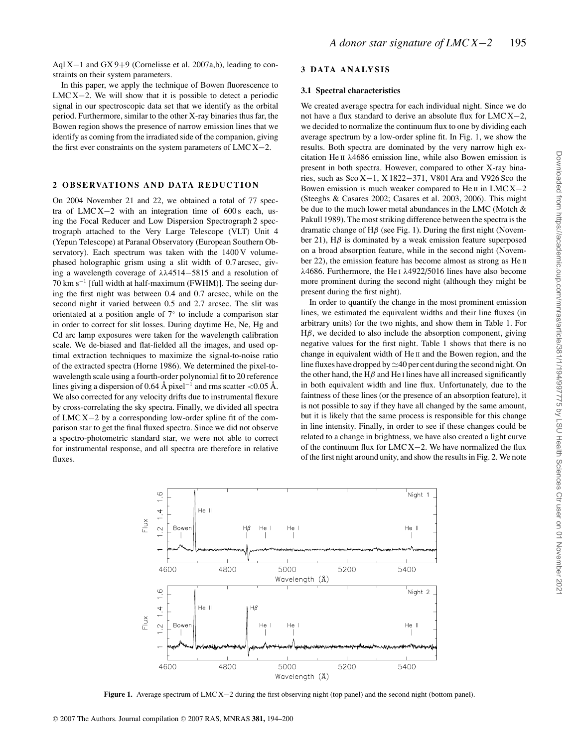Aql X−1 and GX 9+9 (Cornelisse et al. 2007a,b), leading to constraints on their system parameters.

In this paper, we apply the technique of Bowen fluorescence to LMC X−2. We will show that it is possible to detect a periodic signal in our spectroscopic data set that we identify as the orbital period. Furthermore, similar to the other X-ray binaries thus far, the Bowen region shows the presence of narrow emission lines that we identify as coming from the irradiated side of the companion, giving the first ever constraints on the system parameters of LMC X−2.

#### **2 OBSERVATIONS AND DATA REDUCTION**

On 2004 November 21 and 22, we obtained a total of 77 spectra of LMC X−2 with an integration time of 600 s each, using the Focal Reducer and Low Dispersion Spectrograph 2 spectrograph attached to the Very Large Telescope (VLT) Unit 4 (Yepun Telescope) at Paranal Observatory (European Southern Observatory). Each spectrum was taken with the 1400 V volumephased holographic grism using a slit width of 0.7 arcsec, giving a wavelength coverage of λλ4514−5815 and a resolution of  $70 \text{ km s}^{-1}$  [full width at half-maximum (FWHM)]. The seeing during the first night was between 0.4 and 0.7 arcsec, while on the second night it varied between 0.5 and 2.7 arcsec. The slit was orientated at a position angle of 7◦ to include a comparison star in order to correct for slit losses. During daytime He, Ne, Hg and Cd arc lamp exposures were taken for the wavelength calibration scale. We de-biased and flat-fielded all the images, and used optimal extraction techniques to maximize the signal-to-noise ratio of the extracted spectra (Horne 1986). We determined the pixel-towavelength scale using a fourth-order polynomial fit to 20 reference lines giving a dispersion of 0.64 Å pixel−<sup>1</sup> and rms scatter <0.05 Å. We also corrected for any velocity drifts due to instrumental flexure by cross-correlating the sky spectra. Finally, we divided all spectra of LMC X−2 by a corresponding low-order spline fit of the comparison star to get the final fluxed spectra. Since we did not observe a spectro-photometric standard star, we were not able to correct for instrumental response, and all spectra are therefore in relative fluxes.

#### **3 DATA ANALYSIS**

#### **3.1 Spectral characteristics**

We created average spectra for each individual night. Since we do not have a flux standard to derive an absolute flux for LMC X−2, we decided to normalize the continuum flux to one by dividing each average spectrum by a low-order spline fit. In Fig. 1, we show the results. Both spectra are dominated by the very narrow high excitation He II λ4686 emission line, while also Bowen emission is present in both spectra. However, compared to other X-ray binaries, such as Sco X−1, X 1822−371, V801 Ara and V926 Sco the Bowen emission is much weaker compared to He  $II$  in LMC X $-2$ (Steeghs & Casares 2002; Casares et al. 2003, 2006). This might be due to the much lower metal abundances in the LMC (Motch & Pakull 1989). The most striking difference between the spectra is the dramatic change of  $H\beta$  (see Fig. 1). During the first night (November 21),  $H\beta$  is dominated by a weak emission feature superposed on a broad absorption feature, while in the second night (November 22), the emission feature has become almost as strong as He II  $λ$ 4686. Furthermore, the He<sub>I</sub>  $λ$ 4922/5016 lines have also become more prominent during the second night (although they might be present during the first night).

In order to quantify the change in the most prominent emission lines, we estimated the equivalent widths and their line fluxes (in arbitrary units) for the two nights, and show them in Table 1. For  $H\beta$ , we decided to also include the absorption component, giving negative values for the first night. Table 1 shows that there is no change in equivalent width of He II and the Bowen region, and the line fluxes have dropped by  $\approx$ 40 per cent during the second night. On the other hand, the H $\beta$  and He I lines have all increased significantly in both equivalent width and line flux. Unfortunately, due to the faintness of these lines (or the presence of an absorption feature), it is not possible to say if they have all changed by the same amount, but it is likely that the same process is responsible for this change in line intensity. Finally, in order to see if these changes could be related to a change in brightness, we have also created a light curve of the continuum flux for LMC X−2. We have normalized the flux of the first night around unity, and show the results in Fig. 2. We note



**Figure 1.** Average spectrum of LMC X−2 during the first observing night (top panel) and the second night (bottom panel).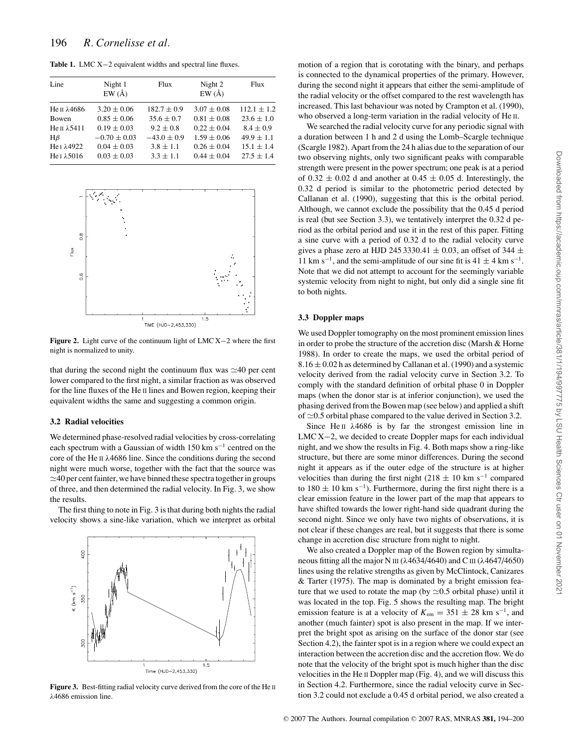**Table 1.** LMC X−2 equivalent widths and spectral line fluxes.

| Line                    | Night 1<br>EW(A) | Flux            | Night 2<br>EW(A) | Flux            |
|-------------------------|------------------|-----------------|------------------|-----------------|
| Не п $\lambda$ 4686     | $3.20 \pm 0.06$  | $182.7 \pm 0.9$ | $3.07 \pm 0.08$  | $112.1 \pm 1.2$ |
| <b>Bowen</b>            | $0.85 \pm 0.06$  | $35.6 \pm 0.7$  | $0.81 \pm 0.08$  | $23.6 \pm 1.0$  |
| He $\pi$ $\lambda$ 5411 | $0.19 \pm 0.03$  | $9.2 \pm 0.8$   | $0.22 \pm 0.04$  | $8.4 \pm 0.9$   |
| $H\beta$                | $-0.70 \pm 0.03$ | $-43.0 \pm 0.9$ | $1.59 \pm 0.06$  | $49.9 \pm 1.1$  |
| He I $\lambda$ 4922     | $0.04 \pm 0.03$  | $3.8 \pm 1.1$   | $0.26 \pm 0.04$  | $15.1 \pm 1.4$  |
| He I $\lambda$ 5016     | $0.03 \pm 0.03$  | $3.3 + 1.1$     | $0.44 \pm 0.04$  | $27.5 \pm 1.4$  |



**Figure 2.** Light curve of the continuum light of LMC X−2 where the first night is normalized to unity.

that during the second night the continuum flux was  $\approx 40$  per cent lower compared to the first night, a similar fraction as was observed for the line fluxes of the He II lines and Bowen region, keeping their equivalent widths the same and suggesting a common origin.

#### **3.2 Radial velocities**

We determined phase-resolved radial velocities by cross-correlating each spectrum with a Gaussian of width 150 km s<sup> $-1$ </sup> centred on the core of the He II  $\lambda$ 4686 line. Since the conditions during the second night were much worse, together with the fact that the source was  $\simeq$ 40 per cent fainter, we have binned these spectra together in groups of three, and then determined the radial velocity. In Fig. 3, we show the results.

The first thing to note in Fig. 3 is that during both nights the radial velocity shows a sine-like variation, which we interpret as orbital



**Figure 3.** Best-fitting radial velocity curve derived from the core of the He II λ4686 emission line.

motion of a region that is corotating with the binary, and perhaps is connected to the dynamical properties of the primary. However, during the second night it appears that either the semi-amplitude of the radial velocity or the offset compared to the rest wavelength has increased. This last behaviour was noted by Crampton et al. (1990), who observed a long-term variation in the radial velocity of He II.

We searched the radial velocity curve for any periodic signal with a duration between 1 h and 2 d using the Lomb–Scargle technique (Scargle 1982). Apart from the 24 h alias due to the separation of our two observing nights, only two significant peaks with comparable strength were present in the power spectrum; one peak is at a period of  $0.32 \pm 0.02$  d and another at  $0.45 \pm 0.05$  d. Interestingly, the 0.32 d period is similar to the photometric period detected by Callanan et al. (1990), suggesting that this is the orbital period. Although, we cannot exclude the possibility that the 0.45 d period is real (but see Section 3.3), we tentatively interpret the 0.32 d period as the orbital period and use it in the rest of this paper. Fitting a sine curve with a period of 0.32 d to the radial velocity curve gives a phase zero at HJD 245 3330.41  $\pm$  0.03, an offset of 344  $\pm$ 11 km s<sup>−1</sup>, and the semi-amplitude of our sine fit is 41  $\pm$  4 km s<sup>−1</sup>. Note that we did not attempt to account for the seemingly variable systemic velocity from night to night, but only did a single sine fit to both nights.

#### **3.3 Doppler maps**

We used Doppler tomography on the most prominent emission lines in order to probe the structure of the accretion disc (Marsh & Horne 1988). In order to create the maps, we used the orbital period of  $8.16 \pm 0.02$  h as determined by Callanan et al. (1990) and a systemic velocity derived from the radial velocity curve in Section 3.2. To comply with the standard definition of orbital phase 0 in Doppler maps (when the donor star is at inferior conjunction), we used the phasing derived from the Bowen map (see below) and applied a shift of  $\simeq$  0.5 orbital phase compared to the value derived in Section 3.2.

Since He II  $\lambda$ 4686 is by far the strongest emission line in LMC X−2, we decided to create Doppler maps for each individual night, and we show the results in Fig. 4. Both maps show a ring-like structure, but there are some minor differences. During the second night it appears as if the outer edge of the structure is at higher velocities than during the first night (218  $\pm$  10 km s<sup>-1</sup> compared to  $180 \pm 10$  km s<sup>-1</sup>). Furthermore, during the first night there is a clear emission feature in the lower part of the map that appears to have shifted towards the lower right-hand side quadrant during the second night. Since we only have two nights of observations, it is not clear if these changes are real, but it suggests that there is some change in accretion disc structure from night to night.

We also created a Doppler map of the Bowen region by simultaneous fitting all the major N III (λ4634/4640) and CIII (λ4647/4650) lines using the relative strengths as given by McClintock, Canizares & Tarter (1975). The map is dominated by a bright emission feature that we used to rotate the map (by  $\simeq 0.5$  orbital phase) until it was located in the top. Fig. 5 shows the resulting map. The bright emission feature is at a velocity of  $K_{em} = 351 \pm 28$  km s<sup>-1</sup>, and another (much fainter) spot is also present in the map. If we interpret the bright spot as arising on the surface of the donor star (see Section 4.2), the fainter spot is in a region where we could expect an interaction between the accretion disc and the accretion flow. We do note that the velocity of the bright spot is much higher than the disc velocities in the He II Doppler map (Fig. 4), and we will discuss this in Section 4.2. Furthermore, since the radial velocity curve in Section 3.2 could not exclude a 0.45 d orbital period, we also created a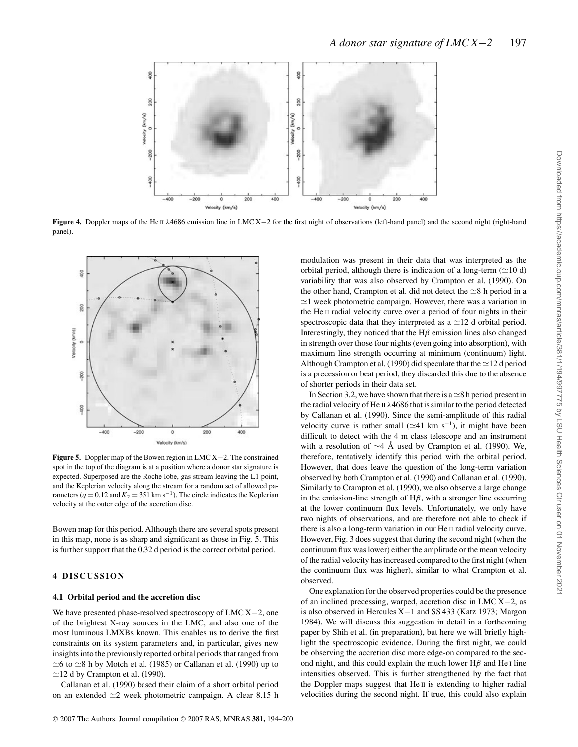

**Figure 4.** Doppler maps of the He II λ4686 emission line in LMC X−2 for the first night of observations (left-hand panel) and the second night (right-hand panel).



**Figure 5.** Doppler map of the Bowen region in LMC X−2. The constrained spot in the top of the diagram is at a position where a donor star signature is expected. Superposed are the Roche lobe, gas stream leaving the L1 point, and the Keplerian velocity along the stream for a random set of allowed parameters ( $q = 0.12$  and  $K_2 = 351$  km s<sup>-1</sup>). The circle indicates the Keplerian velocity at the outer edge of the accretion disc.

Bowen map for this period. Although there are several spots present in this map, none is as sharp and significant as those in Fig. 5. This is further support that the 0.32 d period is the correct orbital period.

#### **4 DISCUSSION**

#### **4.1 Orbital period and the accretion disc**

We have presented phase-resolved spectroscopy of LMC X−2, one of the brightest X-ray sources in the LMC, and also one of the most luminous LMXBs known. This enables us to derive the first constraints on its system parameters and, in particular, gives new insights into the previously reported orbital periods that ranged from  $\approx$ 6 to  $\approx$ 8 h by Motch et al. (1985) or Callanan et al. (1990) up to  $\approx$ 12 d by Crampton et al. (1990).

Callanan et al. (1990) based their claim of a short orbital period on an extended  $\simeq$  2 week photometric campaign. A clear 8.15 h modulation was present in their data that was interpreted as the orbital period, although there is indication of a long-term  $(\simeq 10 \text{ d})$ variability that was also observed by Crampton et al. (1990). On the other hand, Crampton et al. did not detect the  $\simeq 8$  h period in a  $\approx$ 1 week photometric campaign. However, there was a variation in the He II radial velocity curve over a period of four nights in their spectroscopic data that they interpreted as a  $\simeq$  12 d orbital period. Interestingly, they noticed that the  $H\beta$  emission lines also changed in strength over those four nights (even going into absorption), with maximum line strength occurring at minimum (continuum) light. Although Crampton et al. (1990) did speculate that the  $\simeq$  12 d period is a precession or beat period, they discarded this due to the absence of shorter periods in their data set.

In Section 3.2, we have shown that there is a  $\approx 8$  h period present in the radial velocity of He II  $\lambda$ 4686 that is similar to the period detected by Callanan et al. (1990). Since the semi-amplitude of this radial velocity curve is rather small ( $\approx$ 41 km s<sup>-1</sup>), it might have been difficult to detect with the 4 m class telescope and an instrument with a resolution of ∼4 Å used by Crampton et al. (1990). We, therefore, tentatively identify this period with the orbital period. However, that does leave the question of the long-term variation observed by both Crampton et al. (1990) and Callanan et al. (1990). Similarly to Crampton et al. (1990), we also observe a large change in the emission-line strength of  $H\beta$ , with a stronger line occurring at the lower continuum flux levels. Unfortunately, we only have two nights of observations, and are therefore not able to check if there is also a long-term variation in our He II radial velocity curve. However, Fig. 3 does suggest that during the second night (when the continuum flux was lower) either the amplitude or the mean velocity of the radial velocity has increased compared to the first night (when the continuum flux was higher), similar to what Crampton et al. observed.

One explanation for the observed properties could be the presence of an inclined precessing, warped, accretion disc in LMC X−2, as is also observed in Hercules X−1 and SS 433 (Katz 1973; Margon 1984). We will discuss this suggestion in detail in a forthcoming paper by Shih et al. (in preparation), but here we will briefly highlight the spectroscopic evidence. During the first night, we could be observing the accretion disc more edge-on compared to the second night, and this could explain the much lower  $H\beta$  and He I line intensities observed. This is further strengthened by the fact that the Doppler maps suggest that He II is extending to higher radial velocities during the second night. If true, this could also explain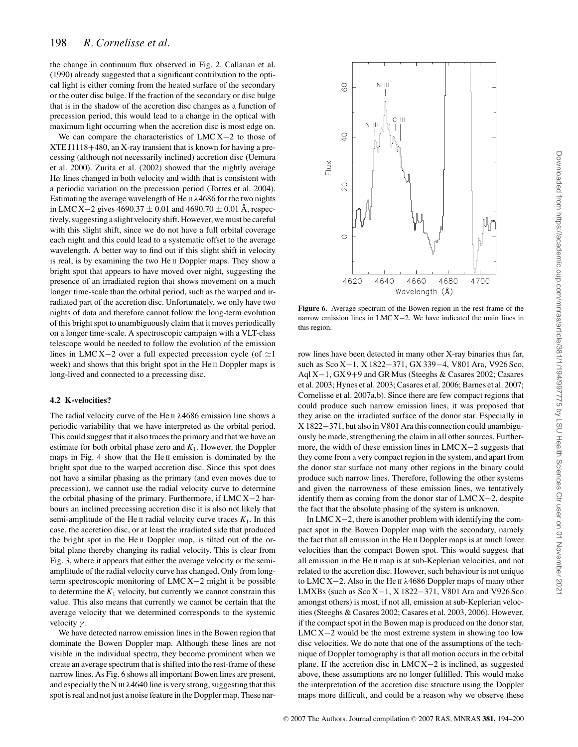the change in continuum flux observed in Fig. 2. Callanan et al. (1990) already suggested that a significant contribution to the optical light is either coming from the heated surface of the secondary or the outer disc bulge. If the fraction of the secondary or disc bulge that is in the shadow of the accretion disc changes as a function of precession period, this would lead to a change in the optical with maximum light occurring when the accretion disc is most edge on.

We can compare the characteristics of LMC X−2 to those of XTE J1118+480, an X-ray transient that is known for having a precessing (although not necessarily inclined) accretion disc (Uemura et al. 2000). Zurita et al. (2002) showed that the nightly average H $\alpha$  lines changed in both velocity and width that is consistent with a periodic variation on the precession period (Torres et al. 2004). Estimating the average wavelength of He  $II \lambda$ 4686 for the two nights in LMC X–2 gives  $4690.37 \pm 0.01$  and  $4690.70 \pm 0.01$  Å, respectively, suggesting a slight velocity shift. However, we must be careful with this slight shift, since we do not have a full orbital coverage each night and this could lead to a systematic offset to the average wavelength. A better way to find out if this slight shift in velocity is real, is by examining the two He II Doppler maps. They show a bright spot that appears to have moved over night, suggesting the presence of an irradiated region that shows movement on a much longer time-scale than the orbital period, such as the warped and irradiated part of the accretion disc. Unfortunately, we only have two nights of data and therefore cannot follow the long-term evolution of this bright spot to unambiguously claim that it moves periodically on a longer time-scale. A spectroscopic campaign with a VLT-class telescope would be needed to follow the evolution of the emission lines in LMC X–2 over a full expected precession cycle (of  $\approx$ 1 week) and shows that this bright spot in the He II Doppler maps is long-lived and connected to a precessing disc.

#### **4.2 K-velocities?**

The radial velocity curve of the He II λ4686 emission line shows a periodic variability that we have interpreted as the orbital period. This could suggest that it also traces the primary and that we have an estimate for both orbital phase zero and  $K_1$ . However, the Doppler maps in Fig. 4 show that the He II emission is dominated by the bright spot due to the warped accretion disc. Since this spot does not have a similar phasing as the primary (and even moves due to precession), we cannot use the radial velocity curve to determine the orbital phasing of the primary. Furthermore, if LMC X−2 harbours an inclined precessing accretion disc it is also not likely that semi-amplitude of the He II radial velocity curve traces  $K_1$ . In this case, the accretion disc, or at least the irradiated side that produced the bright spot in the He II Doppler map, is tilted out of the orbital plane thereby changing its radial velocity. This is clear from Fig. 3, where it appears that either the average velocity or the semiamplitude of the radial velocity curve has changed. Only from longterm spectroscopic monitoring of LMC X−2 might it be possible to determine the  $K_1$  velocity, but currently we cannot constrain this value. This also means that currently we cannot be certain that the average velocity that we determined corresponds to the systemic velocity  $\gamma$ .

We have detected narrow emission lines in the Bowen region that dominate the Bowen Doppler map. Although these lines are not visible in the individual spectra, they become prominent when we create an average spectrum that is shifted into the rest-frame of these narrow lines. As Fig. 6 shows all important Bowen lines are present, and especially the N  $III$   $\lambda$ 4640 line is very strong, suggesting that this spot is real and not just a noise feature in the Doppler map. These nar-



**Figure 6.** Average spectrum of the Bowen region in the rest-frame of the narrow emission lines in LMC X−2. We have indicated the main lines in this region.

row lines have been detected in many other X-ray binaries thus far, such as Sco X−1, X 1822−371, GX 339−4, V801 Ara, V926 Sco, Aql X−1, GX 9+9 and GR Mus (Steeghs & Casares 2002; Casares et al. 2003; Hynes et al. 2003; Casares et al. 2006; Barnes et al. 2007; Cornelisse et al. 2007a,b). Since there are few compact regions that could produce such narrow emission lines, it was proposed that they arise on the irradiated surface of the donor star. Especially in X 1822−371, but also in V801 Ara this connection could unambiguously be made, strengthening the claim in all other sources. Furthermore, the width of these emission lines in LMC X−2 suggests that they come from a very compact region in the system, and apart from the donor star surface not many other regions in the binary could produce such narrow lines. Therefore, following the other systems and given the narrowness of these emission lines, we tentatively identify them as coming from the donor star of LMC X−2, despite the fact that the absolute phasing of the system is unknown.

In LMC X−2, there is another problem with identifying the compact spot in the Bowen Doppler map with the secondary, namely the fact that all emission in the He II Doppler maps is at much lower velocities than the compact Bowen spot. This would suggest that all emission in the He II map is at sub-Keplerian velocities, and not related to the accretion disc. However, such behaviour is not unique to LMC X−2. Also in the He II λ4686 Doppler maps of many other LMXBs (such as Sco X−1, X 1822−371, V801 Ara and V926 Sco amongst others) is most, if not all, emission at sub-Keplerian velocities (Steeghs & Casares 2002; Casares et al. 2003, 2006). However, if the compact spot in the Bowen map is produced on the donor star, LMC X−2 would be the most extreme system in showing too low disc velocities. We do note that one of the assumptions of the technique of Doppler tomography is that all motion occurs in the orbital plane. If the accretion disc in LMC X−2 is inclined, as suggested above, these assumptions are no longer fulfilled. This would make the interpretation of the accretion disc structure using the Doppler maps more difficult, and could be a reason why we observe these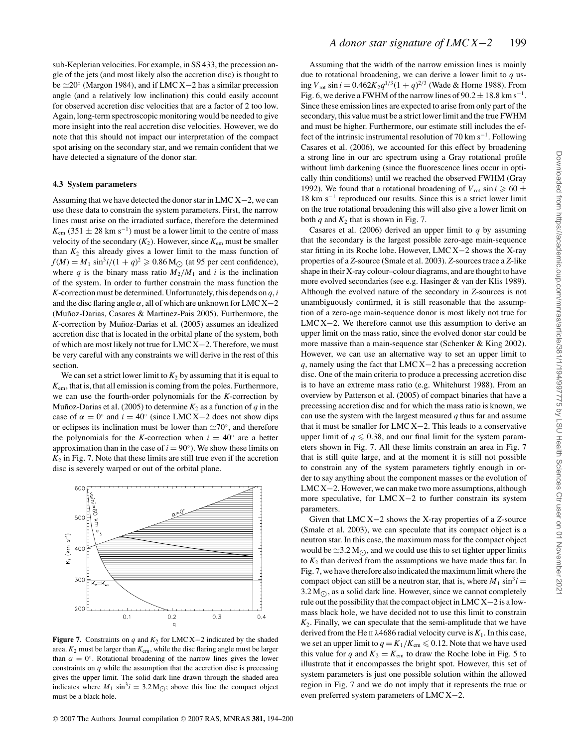sub-Keplerian velocities. For example, in SS 433, the precession angle of the jets (and most likely also the accretion disc) is thought to be 20◦ (Margon 1984), and if LMC X−2 has a similar precession angle (and a relatively low inclination) this could easily account for observed accretion disc velocities that are a factor of 2 too low. Again, long-term spectroscopic monitoring would be needed to give more insight into the real accretion disc velocities. However, we do note that this should not impact our interpretation of the compact spot arising on the secondary star, and we remain confident that we have detected a signature of the donor star.

#### **4.3 System parameters**

Assuming that we have detected the donor star in LMC X−2, we can use these data to constrain the system parameters. First, the narrow lines must arise on the irradiated surface, therefore the determined  $K_{\text{em}}$  (351  $\pm$  28 km s<sup>-1</sup>) must be a lower limit to the centre of mass velocity of the secondary  $(K_2)$ . However, since  $K_{em}$  must be smaller than  $K_2$  this already gives a lower limit to the mass function of  $f(M) = M_1 \sin^3 i / (1 + q)^2 \ge 0.86 \,\text{M}_{\odot}$  (at 95 per cent confidence), where *q* is the binary mass ratio  $M_2/M_1$  and *i* is the inclination of the system. In order to further constrain the mass function the *K*-correction must be determined. Unfortunately, this depends on *q*, *i* and the disc flaring angle  $\alpha$ , all of which are unknown for LMC X–2 (Muñoz-Darias, Casares & Martinez-Pais 2005). Furthermore, the *K*-correction by Muñoz-Darias et al. (2005) assumes an idealized accretion disc that is located in the orbital plane of the system, both of which are most likely not true for LMC X−2. Therefore, we must be very careful with any constraints we will derive in the rest of this section.

We can set a strict lower limit to  $K<sub>2</sub>$  by assuming that it is equal to *K*em, that is, that all emission is coming from the poles. Furthermore, we can use the fourth-order polynomials for the *K*-correction by Muñoz-Darias et al. (2005) to determine  $K_2$  as a function of  $q$  in the case of  $\alpha = 0^\circ$  and  $i = 40^\circ$  (since LMC X–2 does not show dips or eclipses its inclination must be lower than  $\approx 70^{\circ}$ , and therefore the polynomials for the *K*-correction when  $i = 40°$  are a better approximation than in the case of  $i = 90°$ ). We show these limits on  $K_2$  in Fig. 7. Note that these limits are still true even if the accretion disc is severely warped or out of the orbital plane.



**Figure 7.** Constraints on *q* and  $K_2$  for LMC X−2 indicated by the shaded area. *K*<sup>2</sup> must be larger than *K*em, while the disc flaring angle must be larger than  $\alpha = 0^\circ$ . Rotational broadening of the narrow lines gives the lower constraints on *q* while the assumption that the accretion disc is precessing gives the upper limit. The solid dark line drawn through the shaded area indicates where  $M_1 \sin^3 i = 3.2 \,\text{M}_\odot$ ; above this line the compact object must be a black hole.

Assuming that the width of the narrow emission lines is mainly due to rotational broadening, we can derive a lower limit to *q* using  $V_{\text{rot}}$  sin  $i = 0.462K_2 q^{1/3} (1 + q)^{2/3}$  (Wade & Horne 1988). From Fig. 6, we derive a FWHM of the narrow lines of  $90.2 \pm 18.8$  km s<sup>-1</sup>. Since these emission lines are expected to arise from only part of the secondary, this value must be a strict lower limit and the true FWHM and must be higher. Furthermore, our estimate still includes the effect of the intrinsic instrumental resolution of 70 km s<sup> $-1$ </sup>. Following Casares et al. (2006), we accounted for this effect by broadening a strong line in our arc spectrum using a Gray rotational profile without limb darkening (since the fluorescence lines occur in optically thin conditions) until we reached the observed FWHM (Gray 1992). We found that a rotational broadening of  $V_{\text{rot}} \sin i \geq 60 \pm 1$ 18 km s−<sup>1</sup> reproduced our results. Since this is a strict lower limit on the true rotational broadening this will also give a lower limit on both  $q$  and  $K_2$  that is shown in Fig. 7.

Casares et al. (2006) derived an upper limit to *q* by assuming that the secondary is the largest possible zero-age main-sequence star fitting in its Roche lobe. However, LMC X−2 shows the X-ray properties of a *Z*-source (Smale et al. 2003). *Z*-sources trace a *Z*-like shape in their X-ray colour–colour diagrams, and are thought to have more evolved secondaries (see e.g. Hasinger & van der Klis 1989). Although the evolved nature of the secondary in *Z*-sources is not unambiguously confirmed, it is still reasonable that the assumption of a zero-age main-sequence donor is most likely not true for LMC X−2. We therefore cannot use this assumption to derive an upper limit on the mass ratio, since the evolved donor star could be more massive than a main-sequence star (Schenker & King 2002). However, we can use an alternative way to set an upper limit to *q*, namely using the fact that LMC X−2 has a precessing accretion disc. One of the main criteria to produce a precessing accretion disc is to have an extreme mass ratio (e.g. Whitehurst 1988). From an overview by Patterson et al. (2005) of compact binaries that have a precessing accretion disc and for which the mass ratio is known, we can use the system with the largest measured *q* thus far and assume that it must be smaller for LMC X−2. This leads to a conservative upper limit of  $q \le 0.38$ , and our final limit for the system parameters shown in Fig. 7. All these limits constrain an area in Fig. 7 that is still quite large, and at the moment it is still not possible to constrain any of the system parameters tightly enough in order to say anything about the component masses or the evolution of LMC X−2. However, we can make two more assumptions, although more speculative, for LMC X−2 to further constrain its system parameters.

Given that LMC X−2 shows the X-ray properties of a *Z*-source (Smale et al. 2003), we can speculate that its compact object is a neutron star. In this case, the maximum mass for the compact object would be  $\approx$  3.2 M<sub>O</sub>, and we could use this to set tighter upper limits to  $K_2$  than derived from the assumptions we have made thus far. In Fig. 7, we have therefore also indicated the maximum limit where the compact object can still be a neutron star, that is, where  $M_1 \sin^3 i =$  $3.2 M_{\odot}$ , as a solid dark line. However, since we cannot completely rule out the possibility that the compact object in LMC X−2 is a lowmass black hole, we have decided not to use this limit to constrain  $K_2$ . Finally, we can speculate that the semi-amplitude that we have derived from the He II  $\lambda$ 4686 radial velocity curve is  $K_1$ . In this case, we set an upper limit to  $q = K_1/K_{\text{em}} \leq 0.12$ . Note that we have used this value for *q* and  $K_2 = K_{\text{em}}$  to draw the Roche lobe in Fig. 5 to illustrate that it encompasses the bright spot. However, this set of system parameters is just one possible solution within the allowed region in Fig. 7 and we do not imply that it represents the true or even preferred system parameters of LMC X−2.